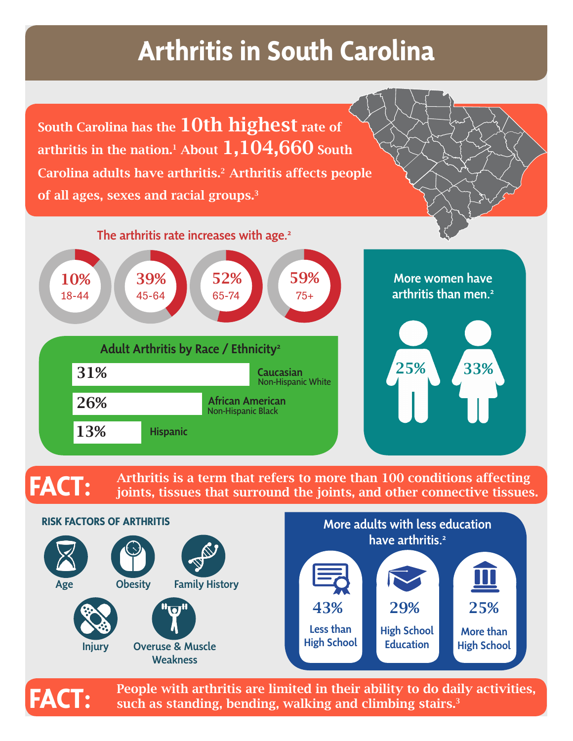# **Arthritis in South Carolina**

South Carolina has the 10th highest rate of arthritis in the nation.<sup>1</sup> About  $1,104,660$  South Carolina adults have arthritis.<sup>2</sup> Arthritis affects people of all ages, sexes and racial groups.<sup>3</sup>



More women have arthritis than men.<sup>2</sup>



## **FACT:**

Arthritis is a term that refers to more than 100 conditions affecting joints, tissues that surround the joints, and other connective tissues.



People with arthritis are limited in their ability to do daily activities, such as standing, bending, walking and climbing stairs.<sup>3</sup>